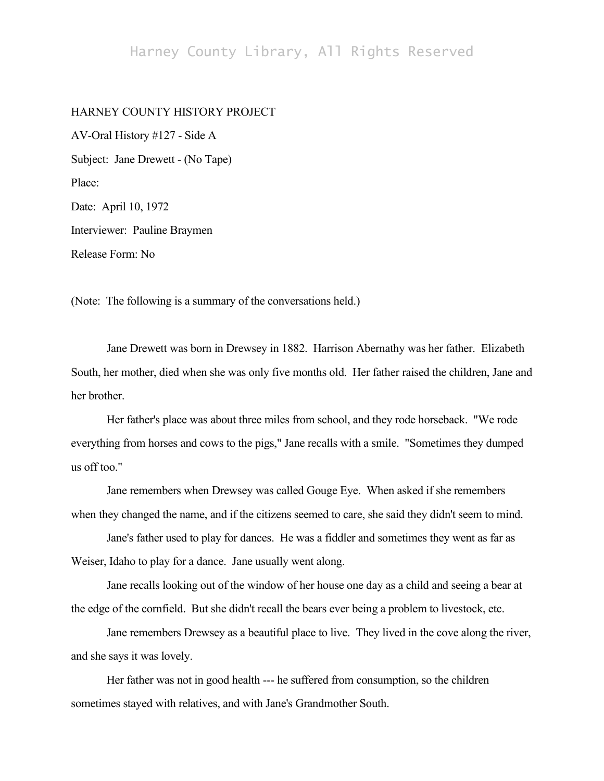## Harney County Library, All Rights Reserved

## HARNEY COUNTY HISTORY PROJECT

AV-Oral History #127 - Side A Subject: Jane Drewett - (No Tape) Place: Date: April 10, 1972 Interviewer: Pauline Braymen Release Form: No

(Note: The following is a summary of the conversations held.)

Jane Drewett was born in Drewsey in 1882. Harrison Abernathy was her father. Elizabeth South, her mother, died when she was only five months old. Her father raised the children, Jane and her brother.

Her father's place was about three miles from school, and they rode horseback. "We rode everything from horses and cows to the pigs," Jane recalls with a smile. "Sometimes they dumped us off too."

Jane remembers when Drewsey was called Gouge Eye. When asked if she remembers when they changed the name, and if the citizens seemed to care, she said they didn't seem to mind.

Jane's father used to play for dances. He was a fiddler and sometimes they went as far as Weiser, Idaho to play for a dance. Jane usually went along.

Jane recalls looking out of the window of her house one day as a child and seeing a bear at the edge of the cornfield. But she didn't recall the bears ever being a problem to livestock, etc.

Jane remembers Drewsey as a beautiful place to live. They lived in the cove along the river, and she says it was lovely.

Her father was not in good health --- he suffered from consumption, so the children sometimes stayed with relatives, and with Jane's Grandmother South.